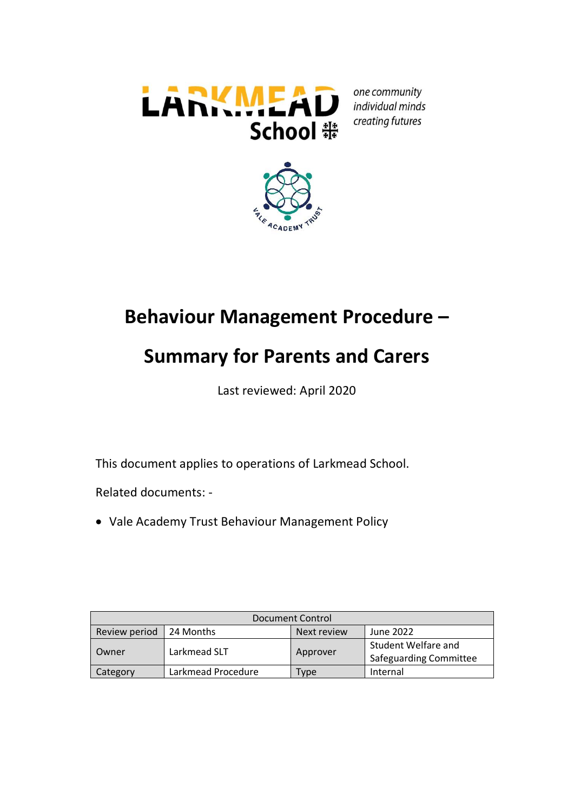

one community individual minds creating futures



## **Behaviour Management Procedure –**

# **Summary for Parents and Carers**

Last reviewed: April 2020

This document applies to operations of Larkmead School.

Related documents: -

Vale Academy Trust Behaviour Management Policy

| Document Control |                    |             |                                               |
|------------------|--------------------|-------------|-----------------------------------------------|
| Review period    | 24 Months          | Next review | June 2022                                     |
| l Owner          | Larkmead SLT       | Approver    | Student Welfare and<br>Safeguarding Committee |
| Category         | Larkmead Procedure | Type        | Internal                                      |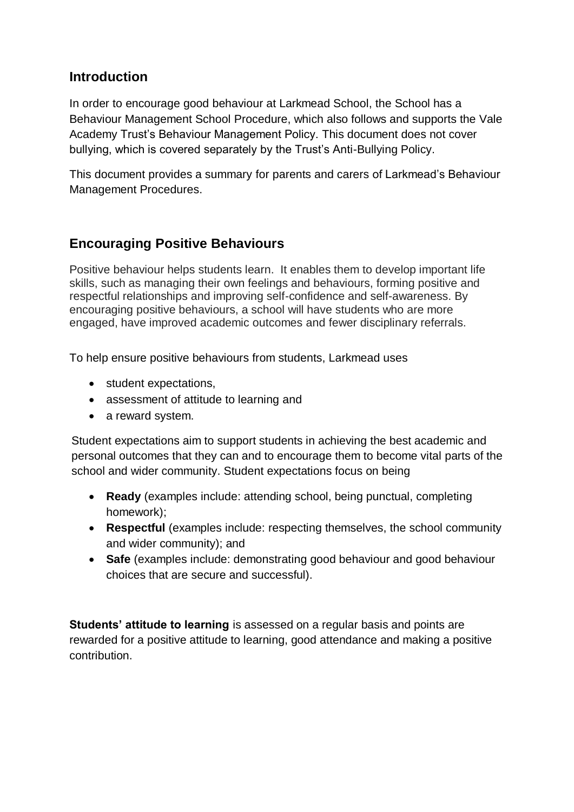## **Introduction**

In order to encourage good behaviour at Larkmead School, the School has a Behaviour Management School Procedure, which also follows and supports the Vale Academy Trust's Behaviour Management Policy. This document does not cover bullying, which is covered separately by the Trust's Anti-Bullying Policy.

This document provides a summary for parents and carers of Larkmead's Behaviour Management Procedures.

## **Encouraging Positive Behaviours**

Positive behaviour helps students learn. It enables them to develop important life skills, such as managing their own feelings and behaviours, forming positive and respectful relationships and improving self-confidence and self-awareness. By encouraging positive behaviours, a school will have students who are more engaged, have improved academic outcomes and fewer disciplinary referrals.

To help ensure positive behaviours from students, Larkmead uses

- student expectations,
- assessment of attitude to learning and
- a reward system.

Student expectations aim to support students in achieving the best academic and personal outcomes that they can and to encourage them to become vital parts of the school and wider community. Student expectations focus on being

- **Ready** (examples include: attending school, being punctual, completing homework);
- **Respectful** (examples include: respecting themselves, the school community and wider community); and
- **Safe** (examples include: demonstrating good behaviour and good behaviour choices that are secure and successful).

**Students' attitude to learning** is assessed on a regular basis and points are rewarded for a positive attitude to learning, good attendance and making a positive contribution.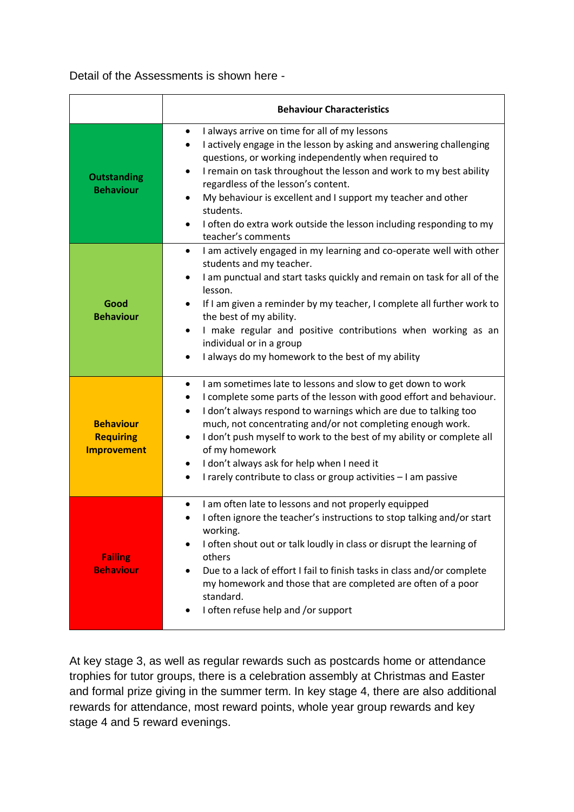Detail of the Assessments is shown here -

|                                                            | <b>Behaviour Characteristics</b>                                                                                                                                                                                                                                                                                                                                                                                                                                                                                         |  |
|------------------------------------------------------------|--------------------------------------------------------------------------------------------------------------------------------------------------------------------------------------------------------------------------------------------------------------------------------------------------------------------------------------------------------------------------------------------------------------------------------------------------------------------------------------------------------------------------|--|
| <b>Outstanding</b><br><b>Behaviour</b>                     | I always arrive on time for all of my lessons<br>$\bullet$<br>I actively engage in the lesson by asking and answering challenging<br>٠<br>questions, or working independently when required to<br>I remain on task throughout the lesson and work to my best ability<br>$\bullet$<br>regardless of the lesson's content.<br>My behaviour is excellent and I support my teacher and other<br>students.<br>I often do extra work outside the lesson including responding to my<br>teacher's comments                       |  |
| Good<br><b>Behaviour</b>                                   | I am actively engaged in my learning and co-operate well with other<br>$\bullet$<br>students and my teacher.<br>I am punctual and start tasks quickly and remain on task for all of the<br>lesson.<br>If I am given a reminder by my teacher, I complete all further work to<br>the best of my ability.<br>I make regular and positive contributions when working as an<br>individual or in a group<br>I always do my homework to the best of my ability<br>$\bullet$                                                    |  |
| <b>Behaviour</b><br><b>Requiring</b><br><b>Improvement</b> | I am sometimes late to lessons and slow to get down to work<br>٠<br>I complete some parts of the lesson with good effort and behaviour.<br>I don't always respond to warnings which are due to talking too<br>$\bullet$<br>much, not concentrating and/or not completing enough work.<br>I don't push myself to work to the best of my ability or complete all<br>$\bullet$<br>of my homework<br>I don't always ask for help when I need it<br>٠<br>I rarely contribute to class or group activities - I am passive<br>٠ |  |
| <b>Failing</b><br><b>Behaviour</b>                         | I am often late to lessons and not properly equipped<br>٠<br>I often ignore the teacher's instructions to stop talking and/or start<br>working.<br>I often shout out or talk loudly in class or disrupt the learning of<br>others<br>Due to a lack of effort I fail to finish tasks in class and/or complete<br>my homework and those that are completed are often of a poor<br>standard.<br>I often refuse help and /or support                                                                                         |  |

At key stage 3, as well as regular rewards such as postcards home or attendance trophies for tutor groups, there is a celebration assembly at Christmas and Easter and formal prize giving in the summer term. In key stage 4, there are also additional rewards for attendance, most reward points, whole year group rewards and key stage 4 and 5 reward evenings.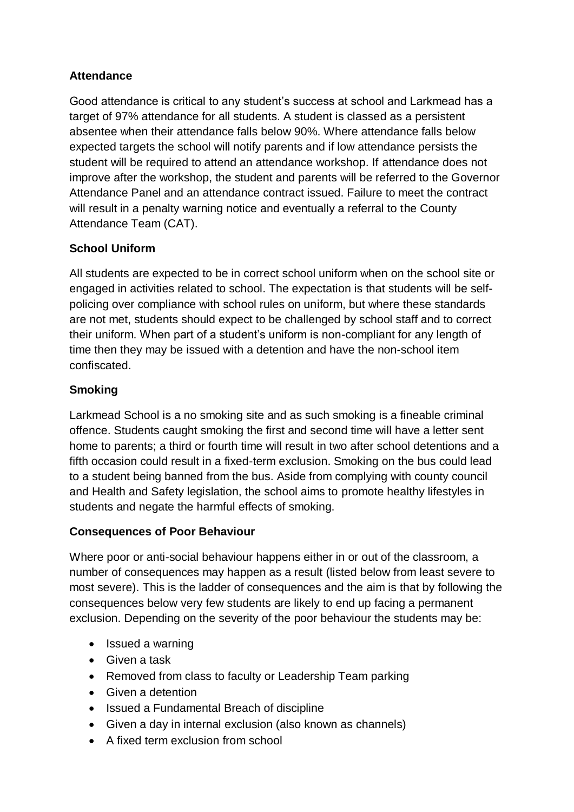### **Attendance**

Good attendance is critical to any student's success at school and Larkmead has a target of 97% attendance for all students. A student is classed as a persistent absentee when their attendance falls below 90%. Where attendance falls below expected targets the school will notify parents and if low attendance persists the student will be required to attend an attendance workshop. If attendance does not improve after the workshop, the student and parents will be referred to the Governor Attendance Panel and an attendance contract issued. Failure to meet the contract will result in a penalty warning notice and eventually a referral to the County Attendance Team (CAT).

### **School Uniform**

All students are expected to be in correct school uniform when on the school site or engaged in activities related to school. The expectation is that students will be selfpolicing over compliance with school rules on uniform, but where these standards are not met, students should expect to be challenged by school staff and to correct their uniform. When part of a student's uniform is non-compliant for any length of time then they may be issued with a detention and have the non-school item confiscated.

#### **Smoking**

Larkmead School is a no smoking site and as such smoking is a fineable criminal offence. Students caught smoking the first and second time will have a letter sent home to parents; a third or fourth time will result in two after school detentions and a fifth occasion could result in a fixed-term exclusion. Smoking on the bus could lead to a student being banned from the bus. Aside from complying with county council and Health and Safety legislation, the school aims to promote healthy lifestyles in students and negate the harmful effects of smoking.

#### **Consequences of Poor Behaviour**

Where poor or anti-social behaviour happens either in or out of the classroom, a number of consequences may happen as a result (listed below from least severe to most severe). This is the ladder of consequences and the aim is that by following the consequences below very few students are likely to end up facing a permanent exclusion. Depending on the severity of the poor behaviour the students may be:

- Issued a warning
- Given a task
- Removed from class to faculty or Leadership Team parking
- **•** Given a detention
- Issued a Fundamental Breach of discipline
- Given a day in internal exclusion (also known as channels)
- A fixed term exclusion from school